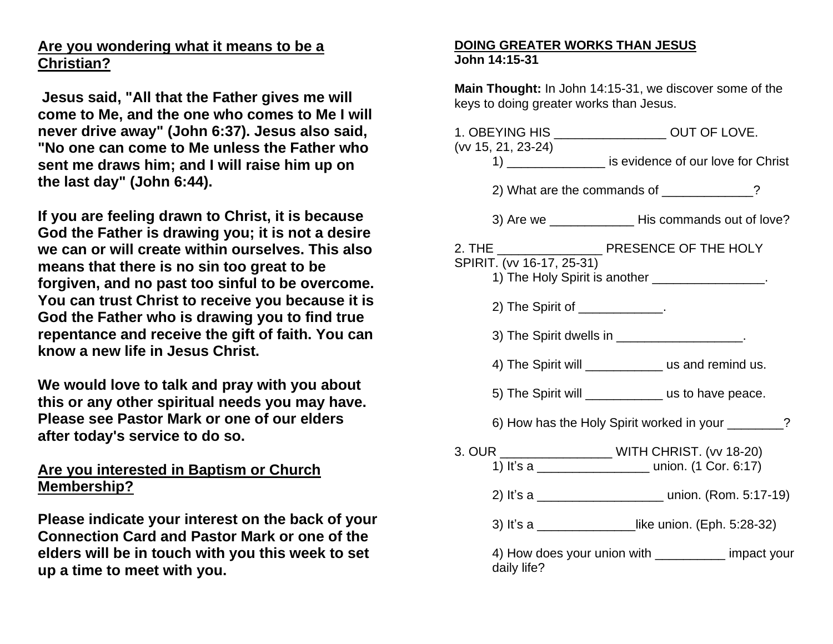## **Are you wondering what it means to be a Christian?**

**Jesus said, "All that the Father gives me will come to Me, and the one who comes to Me I will never drive away" (John 6:37). Jesus also said, "No one can come to Me unless the Father who sent me draws him; and I will raise him up on the last day" (John 6:44).**

**If you are feeling drawn to Christ, it is because God the Father is drawing you; it is not a desire we can or will create within ourselves. This also means that there is no sin too great to be forgiven, and no past too sinful to be overcome. You can trust Christ to receive you because it is God the Father who is drawing you to find true repentance and receive the gift of faith. You can know a new life in Jesus Christ.**

**We would love to talk and pray with you about this or any other spiritual needs you may have. Please see Pastor Mark or one of our elders after today's service to do so.**

## **Are you interested in Baptism or Church Membership?**

**Please indicate your interest on the back of your Connection Card and Pastor Mark or one of the elders will be in touch with you this week to set up a time to meet with you.**

## **DOING GREATER WORKS THAN JESUS John 14:15-31**

**Main Thought:** In John 14:15-31, we discover some of the keys to doing greater works than Jesus.

|  |                                                                                                                  | 1. OBEYING HIS ___________________ OUT OF LOVE. |  |
|--|------------------------------------------------------------------------------------------------------------------|-------------------------------------------------|--|
|  | (vv 15, 21, 23-24)<br>1) _________________ is evidence of our love for Christ                                    |                                                 |  |
|  | 2) What are the commands of ____________?                                                                        |                                                 |  |
|  | 3) Are we _________________ His commands out of love?                                                            |                                                 |  |
|  | SPIRIT. (vv 16-17, 25-31)<br>1) The Holy Spirit is another _________________.                                    |                                                 |  |
|  | 2) The Spirit of _____________.                                                                                  |                                                 |  |
|  | 3) The Spirit dwells in ____________________.                                                                    |                                                 |  |
|  | 4) The Spirit will _______________ us and remind us.                                                             |                                                 |  |
|  | 5) The Spirit will ______________ us to have peace.                                                              |                                                 |  |
|  | 6) How has the Holy Spirit worked in your ________?                                                              |                                                 |  |
|  | 3. OUR ______________________ WITH CHRIST. (vv 18-20)<br>1) It's a ________________________ union. (1 Cor. 6:17) |                                                 |  |
|  | 2) It's a ________________________________ union. (Rom. 5:17-19)                                                 |                                                 |  |
|  | 3) It's a ________________like union. (Eph. 5:28-32)                                                             |                                                 |  |
|  | 4) How does your union with __________ impact your<br>daily life?                                                |                                                 |  |